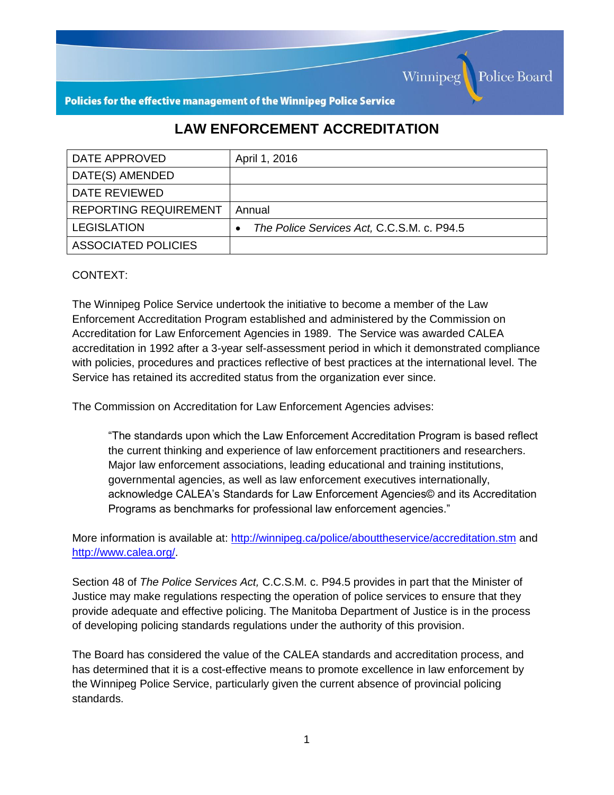

Policies for the effective management of the Winnipeg Police Service

## **LAW ENFORCEMENT ACCREDITATION**

| DATE APPROVED                | April 1, 2016                              |
|------------------------------|--------------------------------------------|
| DATE(S) AMENDED              |                                            |
| DATE REVIEWED                |                                            |
| <b>REPORTING REQUIREMENT</b> | Annual                                     |
| <b>LEGISLATION</b>           | The Police Services Act, C.C.S.M. c. P94.5 |
| ASSOCIATED POLICIES          |                                            |

## CONTEXT:

The Winnipeg Police Service undertook the initiative to become a member of the Law Enforcement Accreditation Program established and administered by the Commission on Accreditation for Law Enforcement Agencies in 1989. The Service was awarded CALEA accreditation in 1992 after a 3-year self-assessment period in which it demonstrated compliance with policies, procedures and practices reflective of best practices at the international level. The Service has retained its accredited status from the organization ever since.

The Commission on Accreditation for Law Enforcement Agencies advises:

"The standards upon which the Law Enforcement Accreditation Program is based reflect the current thinking and experience of law enforcement practitioners and researchers. Major law enforcement associations, leading educational and training institutions, governmental agencies, as well as law enforcement executives internationally, acknowledge CALEA's Standards for Law Enforcement Agencies© and its Accreditation Programs as benchmarks for professional law enforcement agencies."

More information is available at:<http://winnipeg.ca/police/abouttheservice/accreditation.stm> and [http://www.calea.org/.](http://www.calea.org/)

Section 48 of *The Police Services Act,* C.C.S.M. c. P94.5 provides in part that the Minister of Justice may make regulations respecting the operation of police services to ensure that they provide adequate and effective policing. The Manitoba Department of Justice is in the process of developing policing standards regulations under the authority of this provision.

The Board has considered the value of the CALEA standards and accreditation process, and has determined that it is a cost-effective means to promote excellence in law enforcement by the Winnipeg Police Service, particularly given the current absence of provincial policing standards.